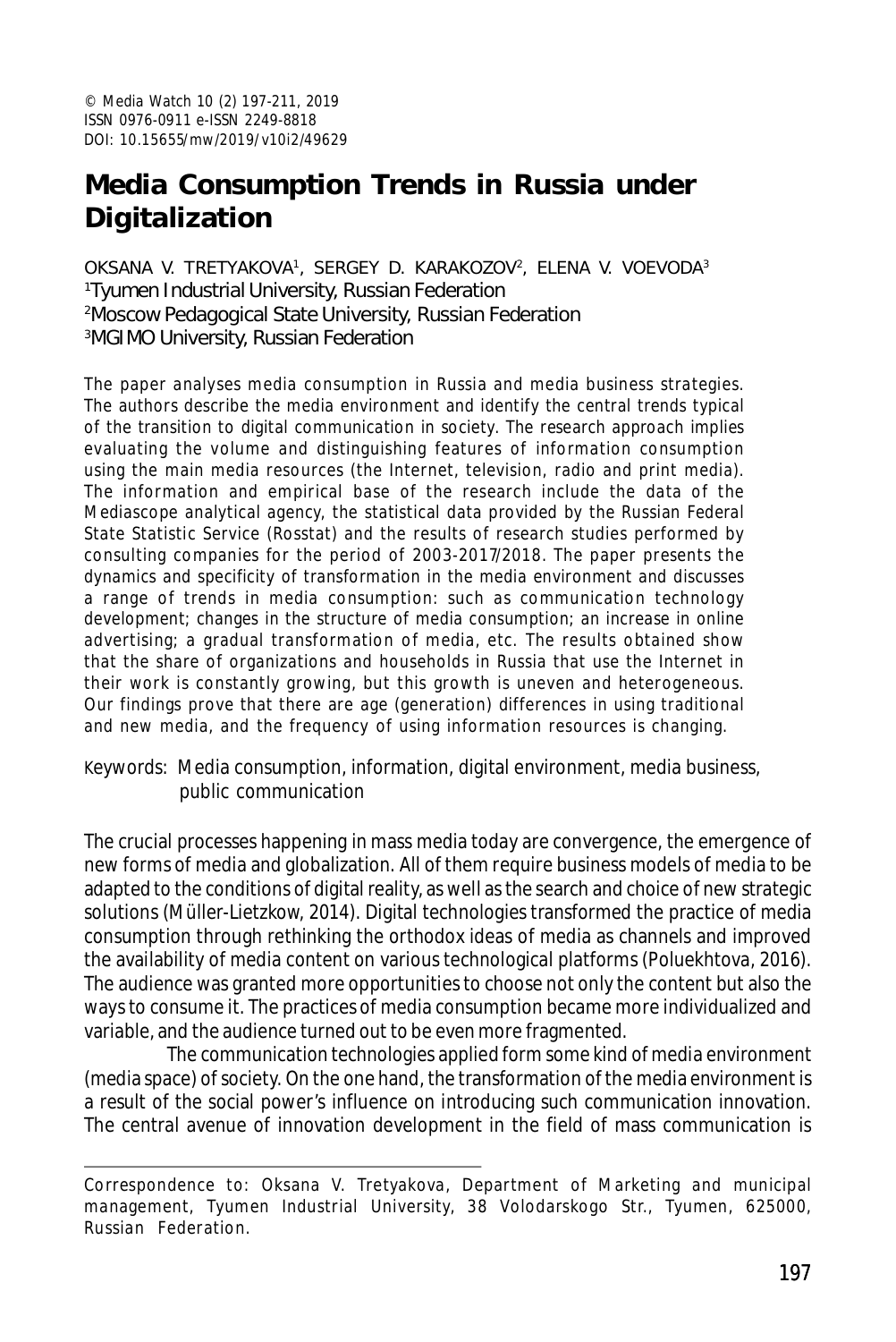# **Media Consumption Trends in Russia under Digitalization**

OKSANA V. TRETYAKOVA1, SERGEY D. KARAKOZOV<sup>2</sup>, ELENA V. VOEVODA<sup>3</sup> Tyumen Industrial University, Russian Federation Moscow Pedagogical State University, Russian Federation MGIMO University, Russian Federation

The paper analyses media consumption in Russia and media business strategies. The authors describe the media environment and identify the central trends typical of the transition to digital communication in society. The research approach implies evaluating the volume and distinguishing features of information consumption using the main media resources (the Internet, television, radio and print media). The information and empirical base of the research include the data of the Mediascope analytical agency, the statistical data provided by the Russian Federal State Statistic Service (Rosstat) and the results of research studies performed by consulting companies for the period of 2003-2017/2018. The paper presents the dynamics and specificity of transformation in the media environment and discusses a range of trends in media consumption: such as communication technology development; changes in the structure of media consumption; an increase in online advertising; a gradual transformation of media, etc. The results obtained show that the share of organizations and households in Russia that use the Internet in their work is constantly growing, but this growth is uneven and heterogeneous. Our findings prove that there are age (generation) differences in using traditional and new media, and the frequency of using information resources is changing.

Keywords: Media consumption, information, digital environment, media business, public communication

The crucial processes happening in mass media today are convergence, the emergence of new forms of media and globalization. All of them require business models of media to be adapted to the conditions of digital reality, as well as the search and choice of new strategic solutions (Müller-Lietzkow, 2014). Digital technologies transformed the practice of media consumption through rethinking the orthodox ideas of media as channels and improved the availability of media content on various technological platforms (Poluekhtova, 2016). The audience was granted more opportunities to choose not only the content but also the ways to consume it. The practices of media consumption became more individualized and variable, and the audience turned out to be even more fragmented.

The communication technologies applied form some kind of media environment (media space) of society. On the one hand, the transformation of the media environment is a result of the social power's influence on introducing such communication innovation. The central avenue of innovation development in the field of mass communication is

Correspondence to: Oksana V. Tretyakova, Department of Marketing and municipal management, Tyumen Industrial University, 38 Volodarskogo Str., Tyumen, 625000, Russian Federation.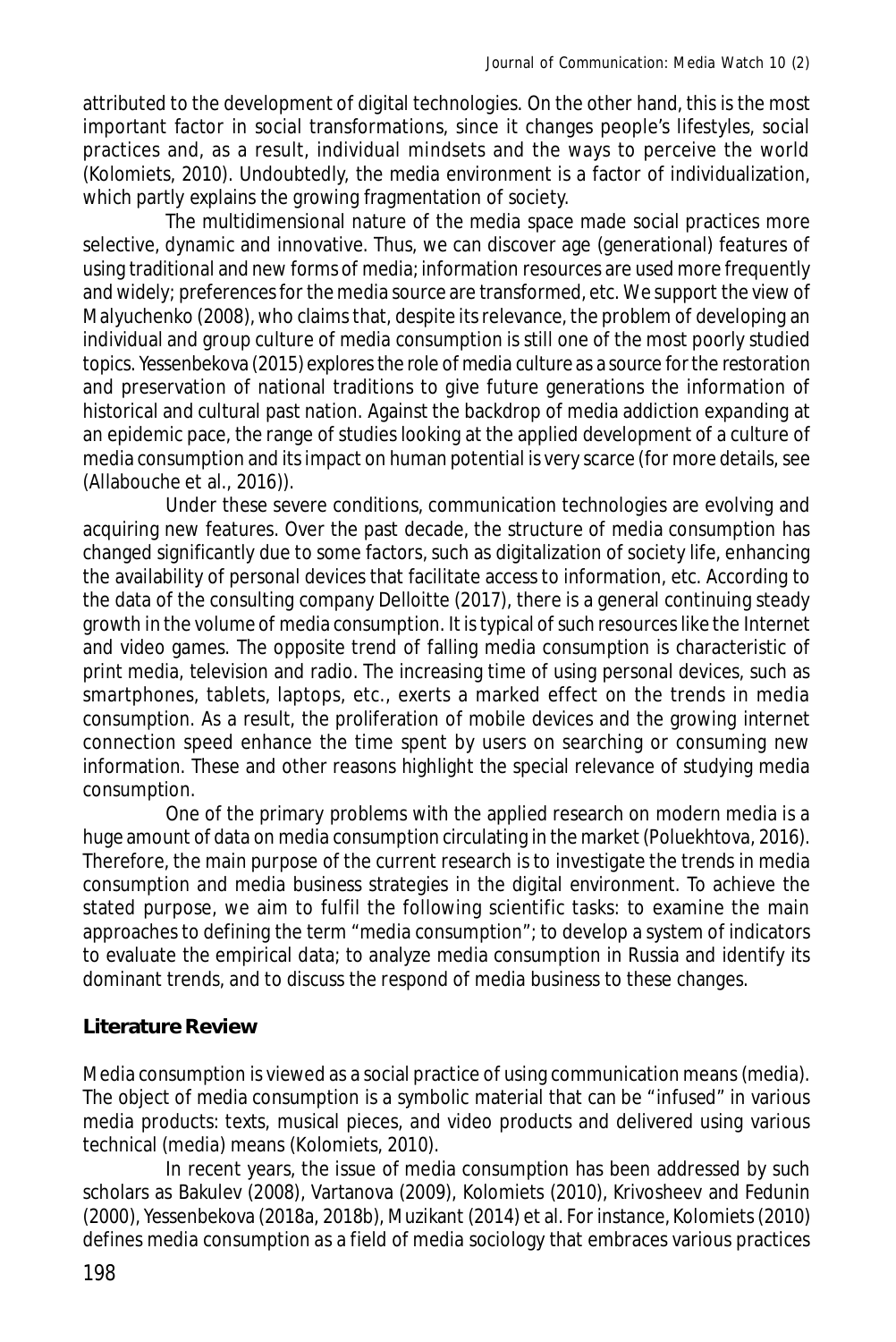attributed to the development of digital technologies. On the other hand, this is the most important factor in social transformations, since it changes people's lifestyles, social practices and, as a result, individual mindsets and the ways to perceive the world (Kolomiets, 2010). Undoubtedly, the media environment is a factor of individualization, which partly explains the growing fragmentation of society.

The multidimensional nature of the media space made social practices more selective, dynamic and innovative. Thus, we can discover age (generational) features of using traditional and new forms of media; information resources are used more frequently and widely; preferences for the media source are transformed, etc. We support the view of Malyuchenko (2008), who claims that, despite its relevance, the problem of developing an individual and group culture of media consumption is still one of the most poorly studied topics. Yessenbekova (2015) explores the role of media culture as a source for the restoration and preservation of national traditions to give future generations the information of historical and cultural past nation. Against the backdrop of media addiction expanding at an epidemic pace, the range of studies looking at the applied development of a culture of media consumption and its impact on human potential is very scarce (for more details, see (Allabouche et al., 2016)).

Under these severe conditions, communication technologies are evolving and acquiring new features. Over the past decade, the structure of media consumption has changed significantly due to some factors, such as digitalization of society life, enhancing the availability of personal devices that facilitate access to information, etc. According to the data of the consulting company Delloitte (2017), there is a general continuing steady growth in the volume of media consumption. It is typical of such resources like the Internet and video games. The opposite trend of falling media consumption is characteristic of print media, television and radio. The increasing time of using personal devices, such as smartphones, tablets, laptops, etc., exerts a marked effect on the trends in media consumption. As a result, the proliferation of mobile devices and the growing internet connection speed enhance the time spent by users on searching or consuming new information. These and other reasons highlight the special relevance of studying media consumption.

One of the primary problems with the applied research on modern media is a huge amount of data on media consumption circulating in the market (Poluekhtova, 2016). Therefore, the main purpose of the current research is to investigate the trends in media consumption and media business strategies in the digital environment. To achieve the stated purpose, we aim to fulfil the following scientific tasks: to examine the main approaches to defining the term "media consumption"; to develop a system of indicators to evaluate the empirical data; to analyze media consumption in Russia and identify its dominant trends, and to discuss the respond of media business to these changes.

# **Literature Review**

Media consumption is viewed as a social practice of using communication means (media). The object of media consumption is a symbolic material that can be "infused" in various media products: texts, musical pieces, and video products and delivered using various technical (media) means (Kolomiets, 2010).

In recent years, the issue of media consumption has been addressed by such scholars as Bakulev (2008), Vartanova (2009), Kolomiets (2010), Krivosheev and Fedunin (2000), Yessenbekova (2018a, 2018b), Muzikant (2014) et al. For instance, Kolomiets (2010) defines media consumption as a field of media sociology that embraces various practices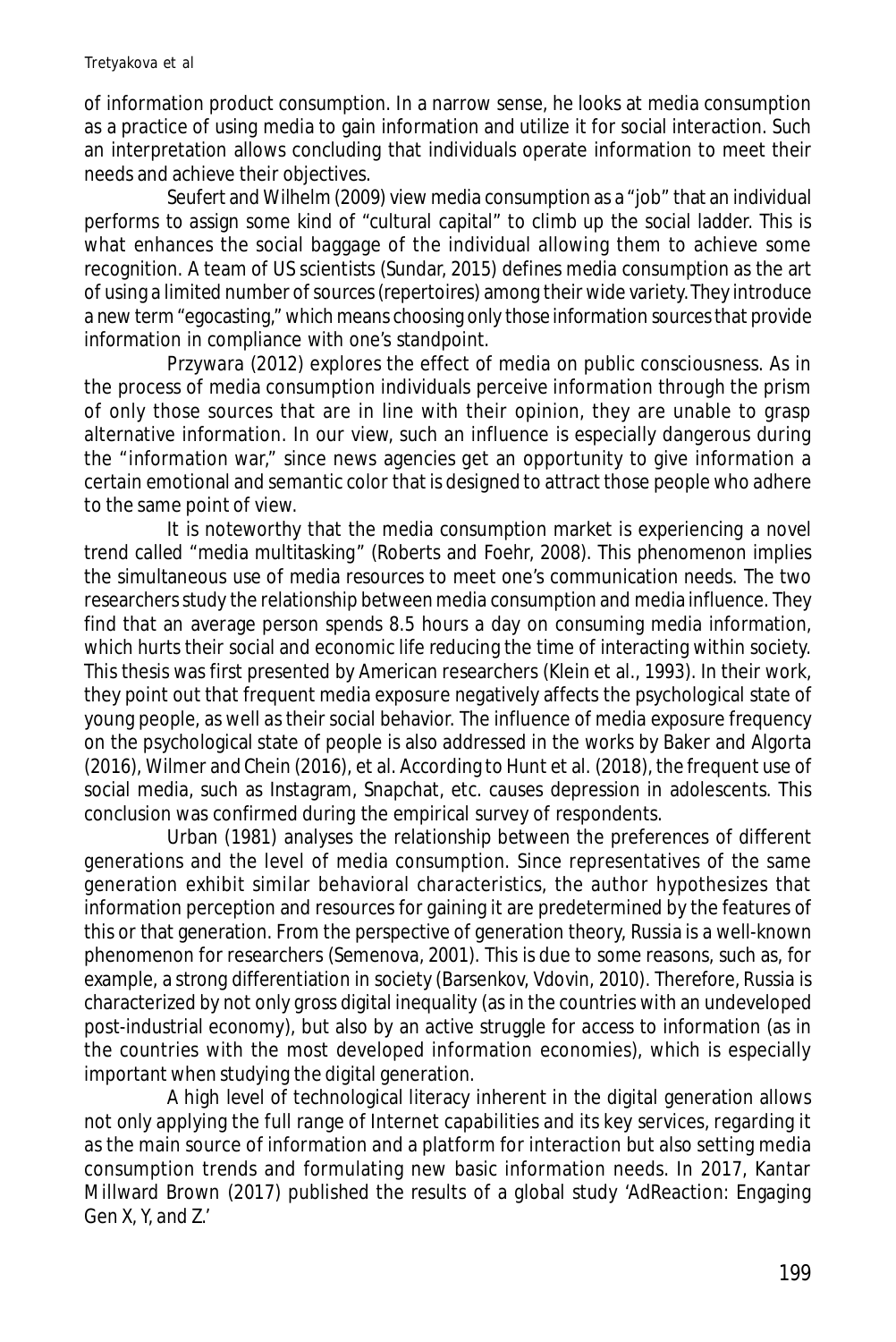of information product consumption. In a narrow sense, he looks at media consumption as a practice of using media to gain information and utilize it for social interaction. Such an interpretation allows concluding that individuals operate information to meet their needs and achieve their objectives.

Seufert and Wilhelm (2009) view media consumption as a "job" that an individual performs to assign some kind of "cultural capital" to climb up the social ladder. This is what enhances the social baggage of the individual allowing them to achieve some recognition. A team of US scientists (Sundar, 2015) defines media consumption as the art of using a limited number of sources (repertoires) among their wide variety.They introduce a new term "egocasting," which means choosing only those information sources that provide information in compliance with one's standpoint.

Przywara (2012) explores the effect of media on public consciousness. As in the process of media consumption individuals perceive information through the prism of only those sources that are in line with their opinion, they are unable to grasp alternative information. In our view, such an influence is especially dangerous during the "information war," since news agencies get an opportunity to give information a certain emotional and semantic color that is designed to attract those people who adhere to the same point of view.

It is noteworthy that the media consumption market is experiencing a novel trend called "media multitasking" (Roberts and Foehr, 2008). This phenomenon implies the simultaneous use of media resources to meet one's communication needs. The two researchers study the relationship between media consumption and media influence. They find that an average person spends 8.5 hours a day on consuming media information, which hurts their social and economic life reducing the time of interacting within society. This thesis was first presented by American researchers (Klein et al., 1993). In their work, they point out that frequent media exposure negatively affects the psychological state of young people, as well as their social behavior. The influence of media exposure frequency on the psychological state of people is also addressed in the works by Baker and Algorta (2016), Wilmer and Chein (2016), et al. According to Hunt et al. (2018), the frequent use of social media, such as Instagram, Snapchat, etc. causes depression in adolescents. This conclusion was confirmed during the empirical survey of respondents.

Urban (1981) analyses the relationship between the preferences of different generations and the level of media consumption. Since representatives of the same generation exhibit similar behavioral characteristics, the author hypothesizes that information perception and resources for gaining it are predetermined by the features of this or that generation. From the perspective of generation theory, Russia is a well-known phenomenon for researchers (Semenova, 2001). This is due to some reasons, such as, for example, a strong differentiation in society (Barsenkov, Vdovin, 2010). Therefore, Russia is characterized by not only gross digital inequality (as in the countries with an undeveloped post-industrial economy), but also by an active struggle for access to information (as in the countries with the most developed information economies), which is especially important when studying the digital generation.

A high level of technological literacy inherent in the digital generation allows not only applying the full range of Internet capabilities and its key services, regarding it as the main source of information and a platform for interaction but also setting media consumption trends and formulating new basic information needs. In 2017, Kantar Millward Brown (2017) published the results of a global study 'AdReaction: Engaging Gen X, Y, and Z.'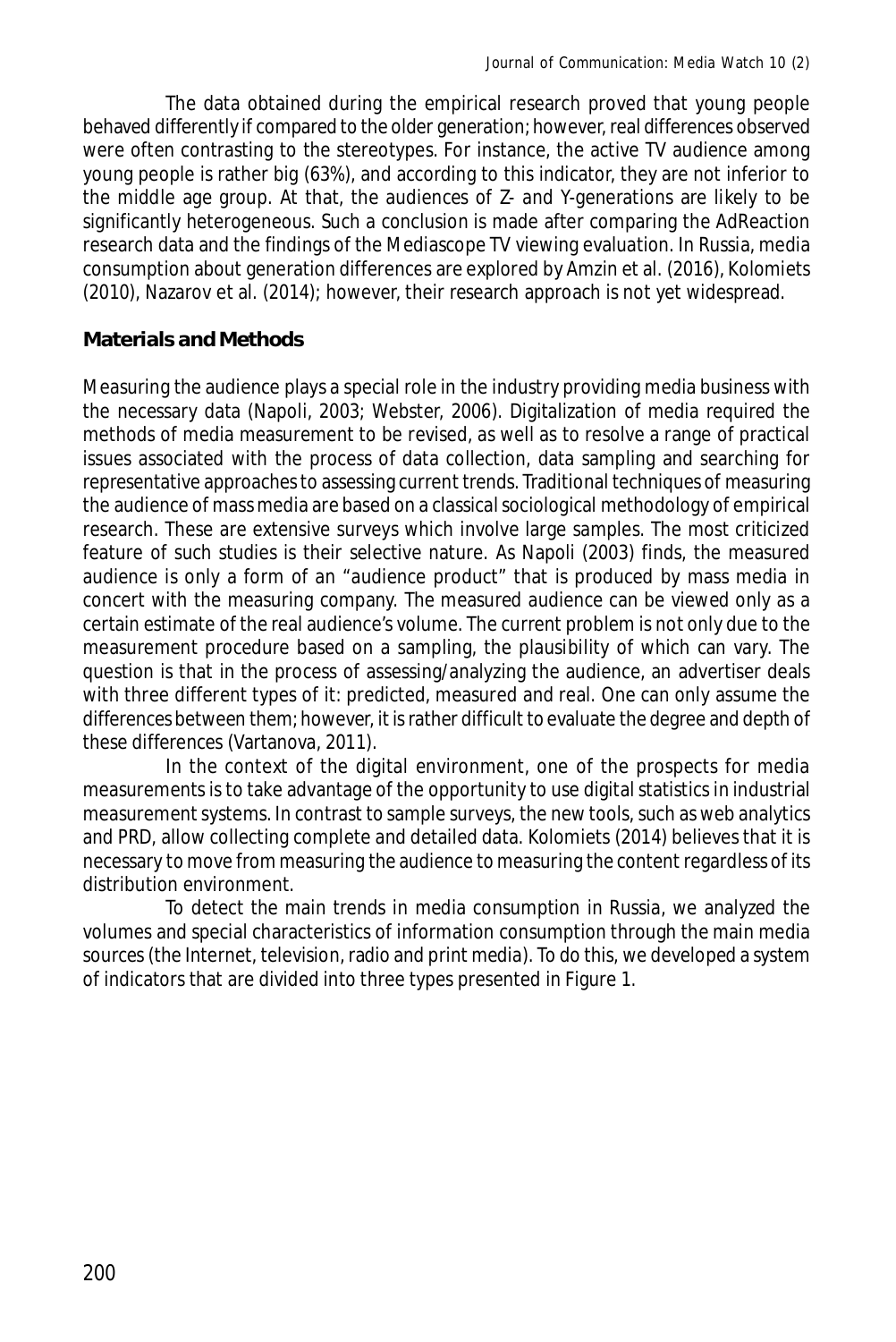The data obtained during the empirical research proved that young people behaved differently if compared to the older generation; however, real differences observed were often contrasting to the stereotypes. For instance, the active TV audience among young people is rather big (63%), and according to this indicator, they are not inferior to the middle age group. At that, the audiences of Z- and Y-generations are likely to be significantly heterogeneous. Such a conclusion is made after comparing the AdReaction research data and the findings of the Mediascope TV viewing evaluation. In Russia, media consumption about generation differences are explored by Amzin et al. (2016), Kolomiets (2010), Nazarov et al. (2014); however, their research approach is not yet widespread.

## **Materials and Methods**

Measuring the audience plays a special role in the industry providing media business with the necessary data (Napoli, 2003; Webster, 2006). Digitalization of media required the methods of media measurement to be revised, as well as to resolve a range of practical issues associated with the process of data collection, data sampling and searching for representative approaches to assessing current trends. Traditional techniques of measuring the audience of mass media are based on a classical sociological methodology of empirical research. These are extensive surveys which involve large samples. The most criticized feature of such studies is their selective nature. As Napoli (2003) finds, the measured audience is only a form of an "audience product" that is produced by mass media in concert with the measuring company. The measured audience can be viewed only as a certain estimate of the real audience's volume. The current problem is not only due to the measurement procedure based on a sampling, the plausibility of which can vary. The question is that in the process of assessing/analyzing the audience, an advertiser deals with three different types of it: predicted, measured and real. One can only assume the differences between them; however, it is rather difficult to evaluate the degree and depth of these differences (Vartanova, 2011).

In the context of the digital environment, one of the prospects for media measurements is to take advantage of the opportunity to use digital statistics in industrial measurement systems. In contrast to sample surveys, the new tools, such as web analytics and PRD, allow collecting complete and detailed data. Kolomiets (2014) believes that it is necessary to move from measuring the audience to measuring the content regardless of its distribution environment.

To detect the main trends in media consumption in Russia, we analyzed the volumes and special characteristics of information consumption through the main media sources (the Internet, television, radio and print media). To do this, we developed a system of indicators that are divided into three types presented in Figure 1.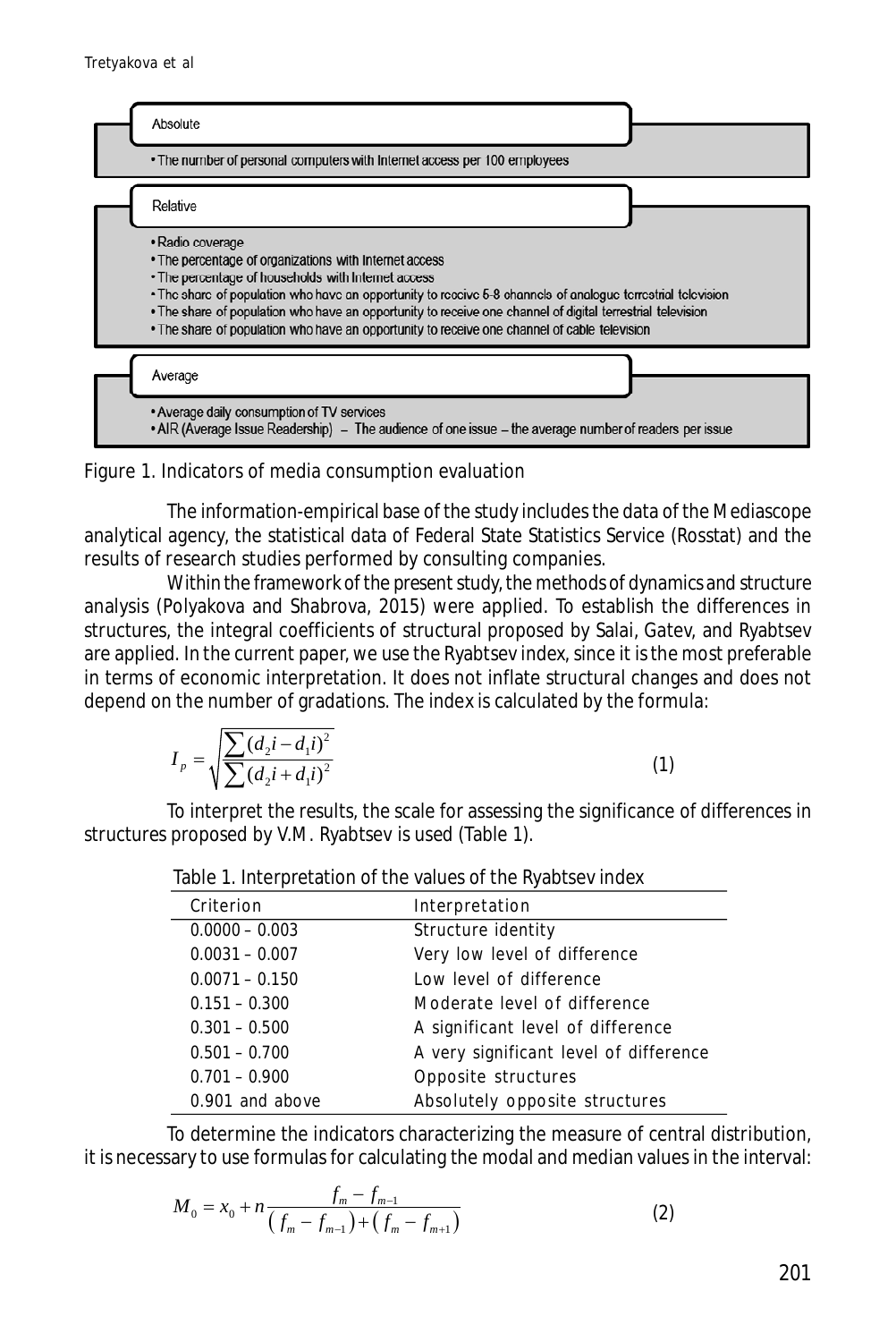



The information-empirical base of the study includes the data of the Mediascope analytical agency, the statistical data of Federal State Statistics Service (Rosstat) and the results of research studies performed by consulting companies.

Within the framework of the present study, the methods of dynamics and structure analysis (Polyakova and Shabrova, 2015) were applied. To establish the differences in structures, the integral coefficients of structural proposed by Salai, Gatev, and Ryabtsev are applied. In the current paper, we use the Ryabtsev index, since it is the most preferable in terms of economic interpretation. It does not inflate structural changes and does not depend on the number of gradations. The index is calculated by the formula:

$$
I_{p} = \sqrt{\frac{\sum (d_{2}i - d_{1}i)^{2}}{\sum (d_{2}i + d_{1}i)^{2}}}
$$
\n(1)

To interpret the results, the scale for assessing the significance of differences in structures proposed by V.M. Ryabtsev is used (Table 1).

| Interpretation                         |
|----------------------------------------|
| Structure identity                     |
| Very low level of difference           |
| Low level of difference                |
| Moderate level of difference           |
| A significant level of difference      |
| A very significant level of difference |
| Opposite structures                    |
| Absolutely opposite structures         |
|                                        |

Table 1. Interpretation of the values of the Ryabtsev index

To determine the indicators characterizing the measure of central distribution, it is necessary to use formulas for calculating the modal and median values in the interval:

$$
M_0 = x_0 + n \frac{f_m - f_{m-1}}{(f_m - f_{m-1}) + (f_m - f_{m+1})}
$$
 (2)

 $\overline{)}$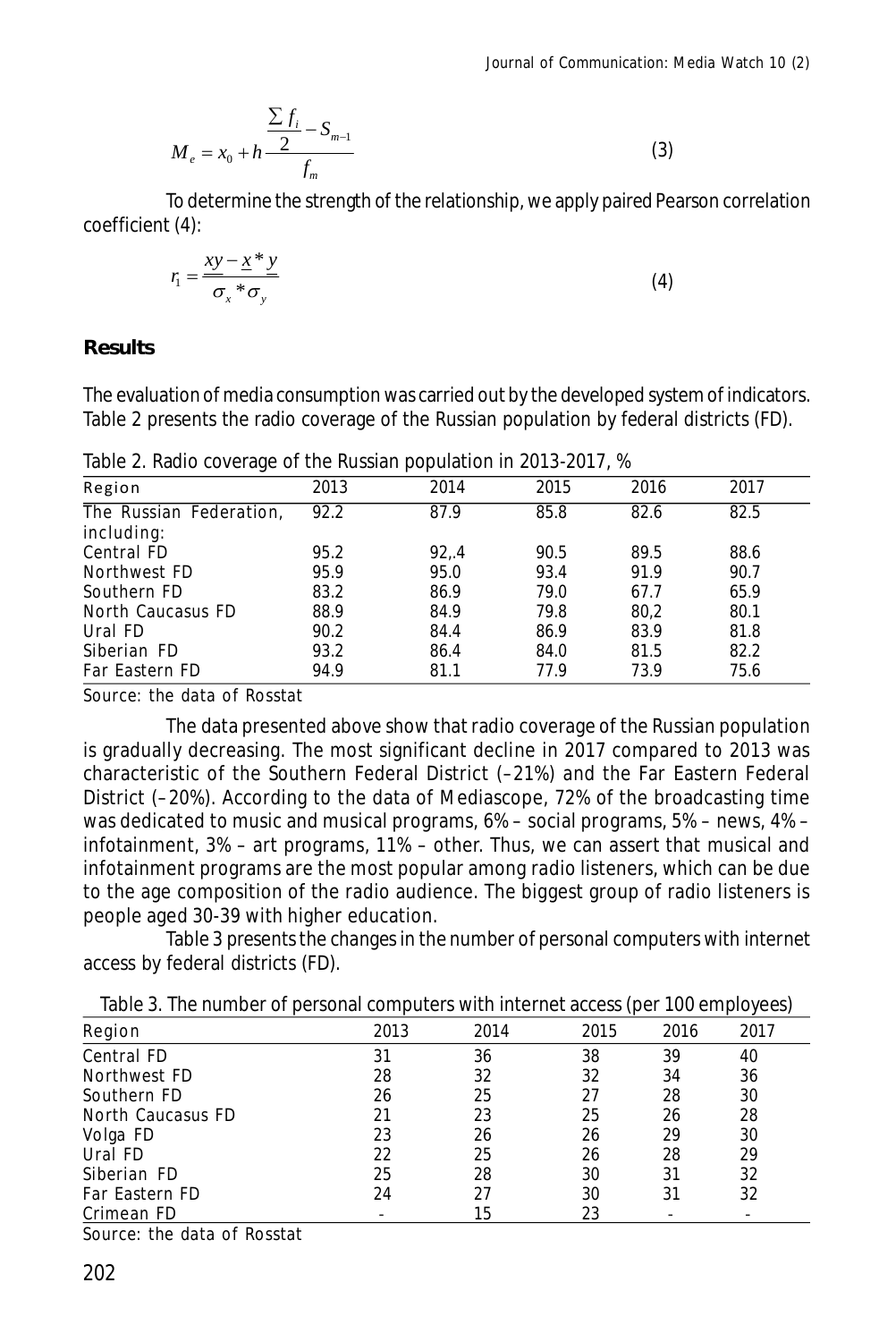$$
M_e = x_0 + h \frac{\frac{\sum f_i}{2} - S_{m-1}}{f_m}
$$
 (3)

To determine the strength of the relationship, we apply paired Pearson correlation coefficient (4):

$$
r_1 = \frac{xy - x^* y}{\sigma_x * \sigma_y} \tag{4}
$$

#### **Results**

The evaluation of media consumption was carried out by the developed system of indicators. Table 2 presents the radio coverage of the Russian population by federal districts (FD).

| Region                  | 2013 | 2014   | 2015 | 2016 | 2017 |
|-------------------------|------|--------|------|------|------|
| The Russian Federation, | 92.2 | 87.9   | 85.8 | 82.6 | 82.5 |
| including:              |      |        |      |      |      |
| Central FD              | 95.2 | 92, .4 | 90.5 | 89.5 | 88.6 |
| Northwest FD            | 95.9 | 95.0   | 93.4 | 91.9 | 90.7 |
| Southern FD             | 83.2 | 86.9   | 79.0 | 67.7 | 65.9 |
| North Caucasus FD       | 88.9 | 84.9   | 79.8 | 80.2 | 80.1 |
| Ural FD                 | 90.2 | 84.4   | 86.9 | 83.9 | 81.8 |
| Siberian FD             | 93.2 | 86.4   | 84.0 | 81.5 | 82.2 |
| Far Eastern FD          | 94.9 | 81.1   | 77.9 | 73.9 | 75.6 |

Table 2. Radio coverage of the Russian population in 2013-2017, %

Source: the data of Rosstat

The data presented above show that radio coverage of the Russian population is gradually decreasing. The most significant decline in 2017 compared to 2013 was characteristic of the Southern Federal District (–21%) and the Far Eastern Federal District (–20%). According to the data of Mediascope, 72% of the broadcasting time was dedicated to music and musical programs, 6% – social programs, 5% – news, 4% – infotainment, 3% – art programs, 11% – other. Thus, we can assert that musical and infotainment programs are the most popular among radio listeners, which can be due to the age composition of the radio audience. The biggest group of radio listeners is people aged 30-39 with higher education.

Table 3 presents the changes in the number of personal computers with internet access by federal districts (FD).

| Region                           | 2013 | 2014 | 2015 | 2016 | 2017 |
|----------------------------------|------|------|------|------|------|
| Central FD                       | 31   | 36   | 38   | 39   | 40   |
| Northwest FD                     | 28   | 32   | 32   | 34   | 36   |
| Southern FD                      | 26   | 25   | 27   | 28   | 30   |
| North Caucasus FD                | 21   | 23   | 25   | 26   | 28   |
| Volga FD                         | 23   | 26   | 26   | 29   | 30   |
| Ural FD                          | 22   | 25   | 26   | 28   | 29   |
| Siberian FD                      | 25   | 28   | 30   | 31   | 32   |
| Far Eastern FD                   | 24   | 27   | 30   | 31   | 32   |
| Crimean FD                       |      | 15   | 23   |      |      |
| Country the details of Departure |      |      |      |      |      |

Source: the data of Rosstat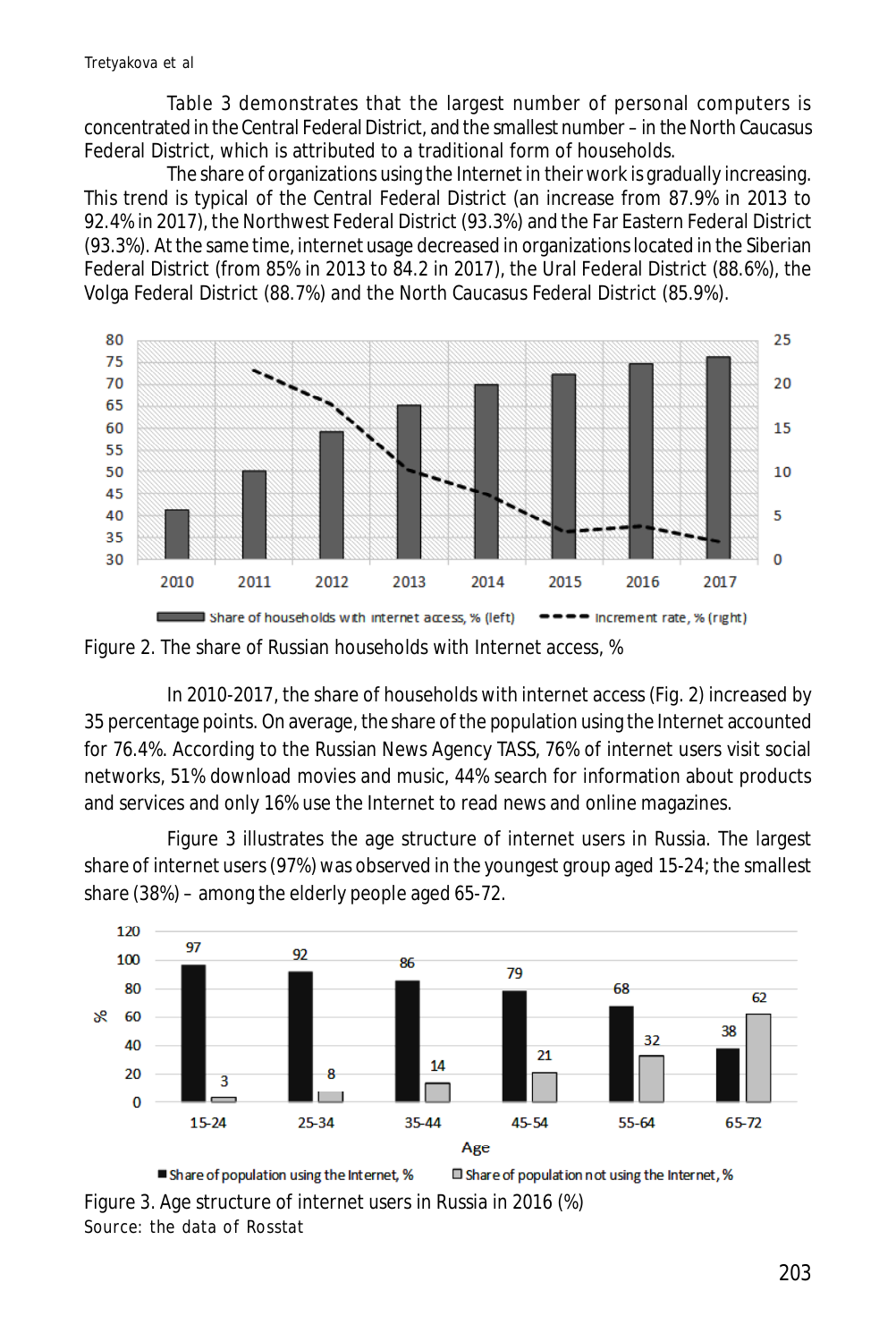Table 3 demonstrates that the largest number of personal computers is concentrated in the Central Federal District, and the smallest number – in the North Caucasus Federal District, which is attributed to a traditional form of households.

The share of organizations using the Internet in their work is gradually increasing. This trend is typical of the Central Federal District (an increase from 87.9% in 2013 to 92.4% in 2017), the Northwest Federal District (93.3%) and the Far Eastern Federal District (93.3%). At the same time, internet usage decreased in organizations located in the Siberian Federal District (from 85% in 2013 to 84.2 in 2017), the Ural Federal District (88.6%), the Volga Federal District (88.7%) and the North Caucasus Federal District (85.9%).





In 2010-2017, the share of households with internet access (Fig. 2) increased by 35 percentage points. On average, the share of the population using the Internet accounted for 76.4%. According to the Russian News Agency TASS, 76% of internet users visit social networks, 51% download movies and music, 44% search for information about products and services and only 16% use the Internet to read news and online magazines.

Figure 3 illustrates the age structure of internet users in Russia. The largest share of internet users (97%) was observed in the youngest group aged 15-24; the smallest share (38%) – among the elderly people aged 65-72.



Figure 3. Age structure of internet users in Russia in 2016 (%) Source: the data of Rosstat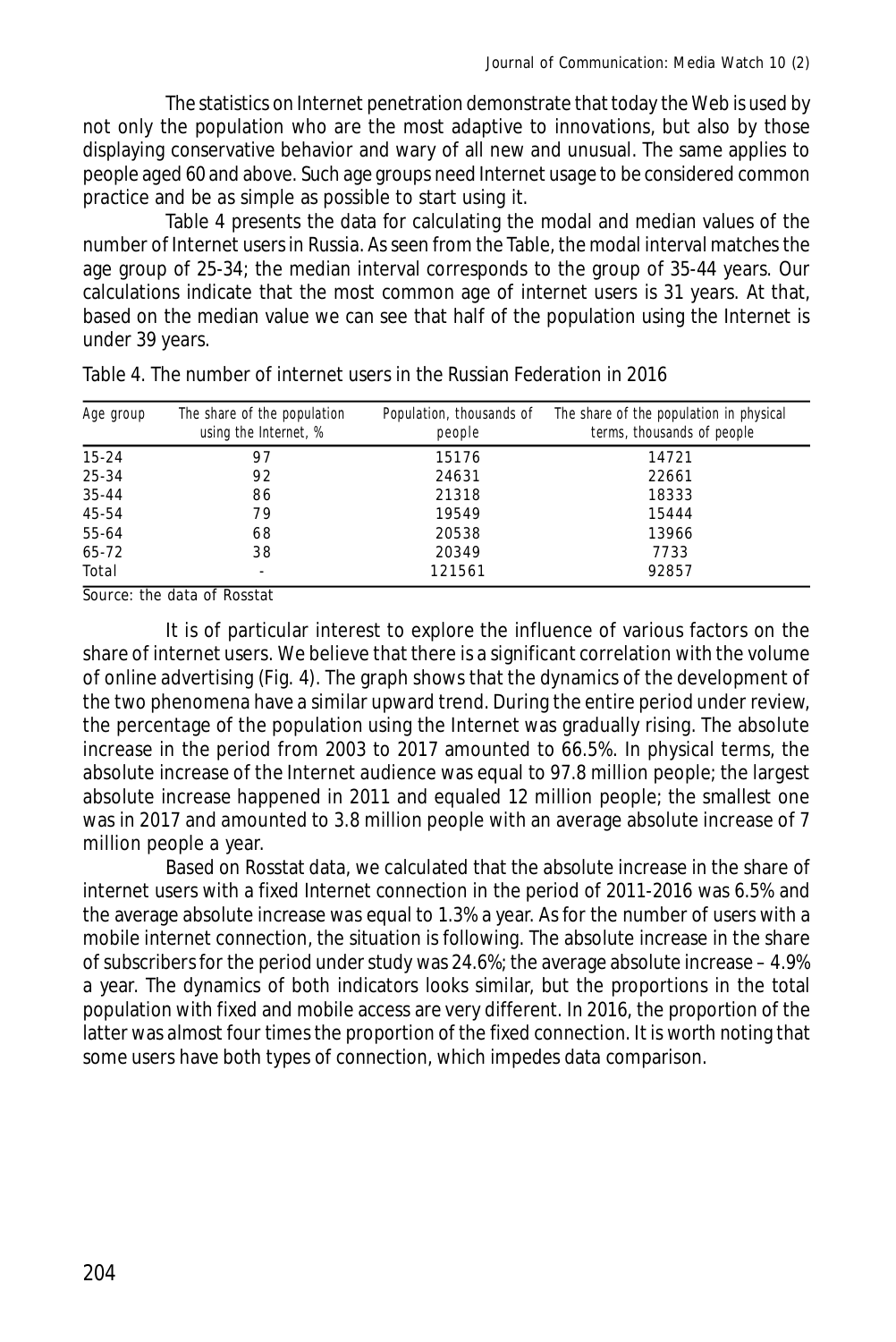The statistics on Internet penetration demonstrate that today the Web is used by not only the population who are the most adaptive to innovations, but also by those displaying conservative behavior and wary of all new and unusual. The same applies to people aged 60 and above. Such age groups need Internet usage to be considered common practice and be as simple as possible to start using it.

Table 4 presents the data for calculating the modal and median values of the number of Internet users in Russia. As seen from the Table, the modal interval matches the age group of 25-34; the median interval corresponds to the group of 35-44 years. Our calculations indicate that the most common age of internet users is 31 years. At that, based on the median value we can see that half of the population using the Internet is under 39 years.

| Age group | The share of the population<br>using the Internet, % | Population, thousands of<br>people | The share of the population in physical<br>terms, thousands of people |
|-----------|------------------------------------------------------|------------------------------------|-----------------------------------------------------------------------|
| $15 - 24$ | 97                                                   | 15176                              | 14721                                                                 |
| $25 - 34$ | 92                                                   | 24631                              | 22661                                                                 |
| $35 - 44$ | 86                                                   | 21318                              | 18333                                                                 |
| 45-54     | 79                                                   | 19549                              | 15444                                                                 |
| 55-64     | 68                                                   | 20538                              | 13966                                                                 |
| $65 - 72$ | 38                                                   | 20349                              | 7733                                                                  |
| Total     | $\overline{\phantom{a}}$                             | 121561                             | 92857                                                                 |

Table 4. The number of internet users in the Russian Federation in 2016

Source: the data of Rosstat

It is of particular interest to explore the influence of various factors on the share of internet users. We believe that there is a significant correlation with the volume of online advertising (Fig. 4). The graph shows that the dynamics of the development of the two phenomena have a similar upward trend. During the entire period under review, the percentage of the population using the Internet was gradually rising. The absolute increase in the period from 2003 to 2017 amounted to 66.5%. In physical terms, the absolute increase of the Internet audience was equal to 97.8 million people; the largest absolute increase happened in 2011 and equaled 12 million people; the smallest one was in 2017 and amounted to 3.8 million people with an average absolute increase of 7 million people a year.

Based on Rosstat data, we calculated that the absolute increase in the share of internet users with a fixed Internet connection in the period of 2011-2016 was 6.5% and the average absolute increase was equal to 1.3% a year. As for the number of users with a mobile internet connection, the situation is following. The absolute increase in the share of subscribers for the period under study was 24.6%; the average absolute increase – 4.9% a year. The dynamics of both indicators looks similar, but the proportions in the total population with fixed and mobile access are very different. In 2016, the proportion of the latter was almost four times the proportion of the fixed connection. It is worth noting that some users have both types of connection, which impedes data comparison.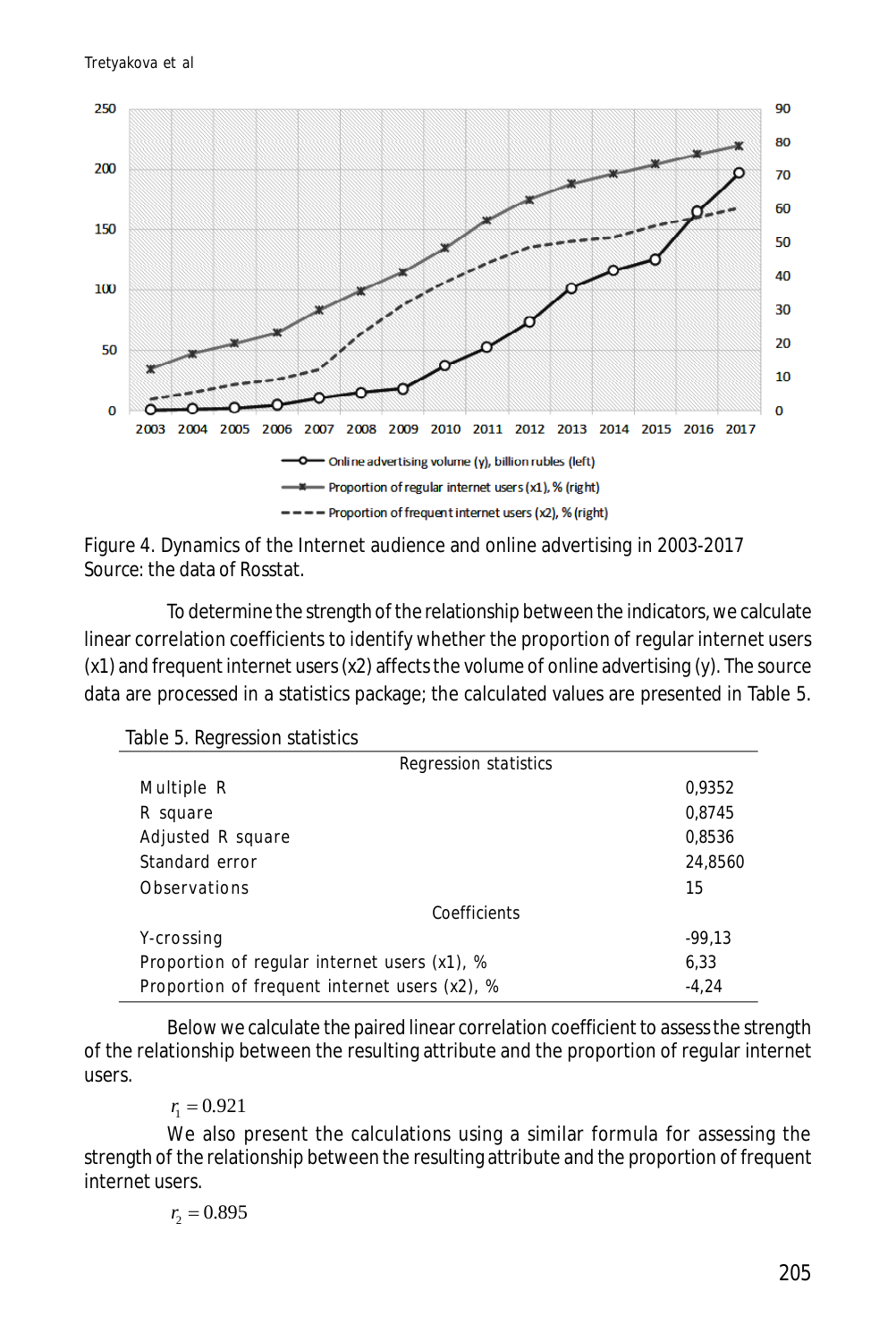

Figure 4. Dynamics of the Internet audience and online advertising in 2003-2017 *Source:* the data of Rosstat.

To determine the strength of the relationship between the indicators, we calculate linear correlation coefficients to identify whether the proportion of regular internet users (x1) and frequent internet users (x2) affects the volume of online advertising (y). The source data are processed in a statistics package; the calculated values are presented in Table 5.

| Table 5. Regression statistics |
|--------------------------------|
|--------------------------------|

| Regression statistics                         |          |
|-----------------------------------------------|----------|
| Multiple R                                    | 0,9352   |
| R square                                      | 0,8745   |
| Adjusted R square                             | 0,8536   |
| Standard error                                | 24,8560  |
| Observations                                  | 15       |
| Coefficients                                  |          |
| Y-crossing                                    | $-99.13$ |
| Proportion of regular internet users (x1), %  | 6,33     |
| Proportion of frequent internet users (x2), % | $-4.24$  |

Below we calculate the paired linear correlation coefficient to assess the strength of the relationship between the resulting attribute and the proportion of regular internet users.

 $r_1 = 0.921$ 

We also present the calculations using a similar formula for assessing the strength of the relationship between the resulting attribute and the proportion of frequent internet users.

$$
r_{2}=0.895
$$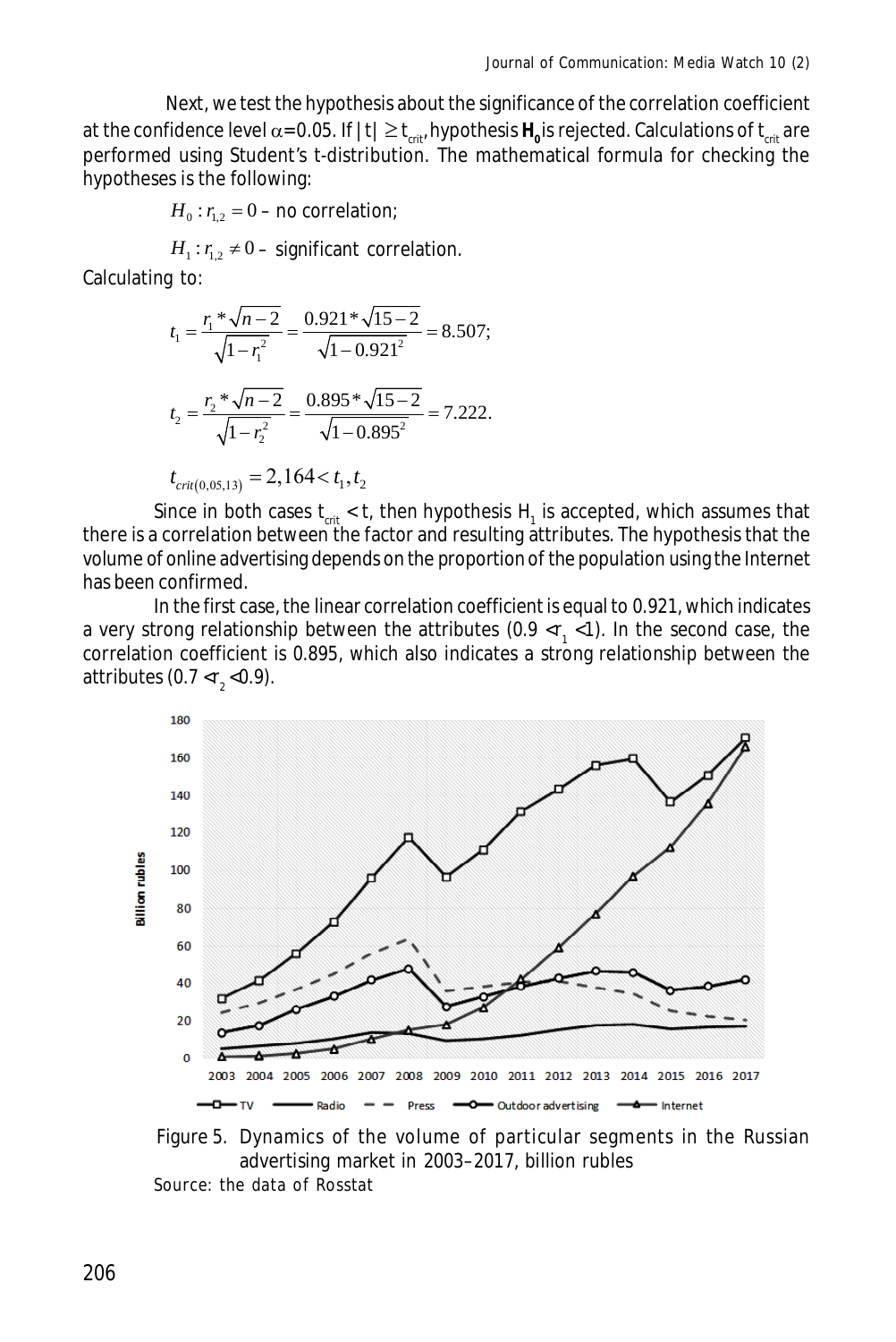Next, we test the hypothesis about the significance of the correlation coefficient at the confidence level  $\alpha$ = 0.05. If  $|t| \ge t_{_{\sf crit}}$ ,hypothesis  ${\sf H_o}$ is rejected. Calculations of  $t_{_{\sf crit}}$  are performed using Student's t-distribution. The mathematical formula for checking the hypotheses is the following:

 $H_0$ :  $r_{12}$  = 0 – no correlation;

 $H_1: r_{1,2} \neq 0$  – significant correlation.

Calculating to:

$$
t_1 = \frac{r_1 * \sqrt{n - 2}}{\sqrt{1 - r_1^2}} = \frac{0.921 * \sqrt{15 - 2}}{\sqrt{1 - 0.921^2}} = 8.507;
$$
  

$$
t_2 = \frac{r_2 * \sqrt{n - 2}}{\sqrt{1 - r_2^2}} = \frac{0.895 * \sqrt{15 - 2}}{\sqrt{1 - 0.895^2}} = 7.222.
$$

$$
t_{\text{crit}(0,05,13)} = 2,164 < t_1, t_2
$$

Since in both cases  $\sf{t}_{\sf crit}$  <  $\sf{t}$ , then hypothesis  $\sf{H}_{\sf_1}$  is accepted, which assumes that there is a correlation between the factor and resulting attributes. The hypothesis that the volume of online advertising depends on the proportion of the population using the Internet has been confirmed.

In the first case, the linear correlation coefficient is equal to 0.921, which indicates a very strong relationship between the attributes (0.9 <r<sub>1</sub> <1). In the second case, the correlation coefficient is 0.895, which also indicates a strong relationship between the attributes (0.7 < $r_{2}$ <0.9).



Figure 5. Dynamics of the volume of particular segments in the Russian advertising market in 2003–2017, billion rubles

Source: the data of Rosstat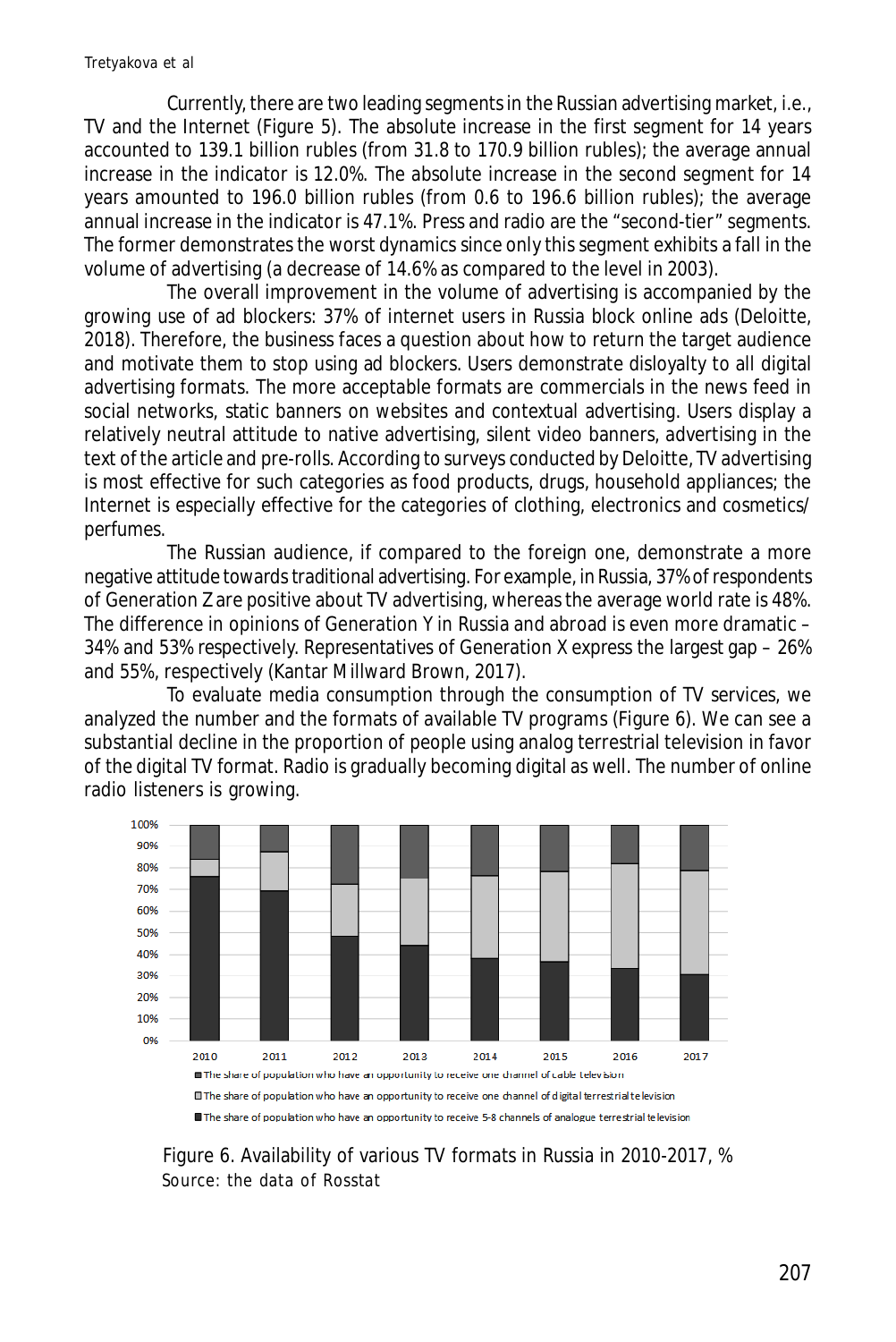Currently, there are two leading segments in the Russian advertising market, i.e., TV and the Internet (Figure 5). The absolute increase in the first segment for 14 years accounted to 139.1 billion rubles (from 31.8 to 170.9 billion rubles); the average annual increase in the indicator is 12.0%. The absolute increase in the second segment for 14 years amounted to 196.0 billion rubles (from 0.6 to 196.6 billion rubles); the average annual increase in the indicator is 47.1%. Press and radio are the "second-tier" segments. The former demonstrates the worst dynamics since only this segment exhibits a fall in the volume of advertising (a decrease of 14.6% as compared to the level in 2003).

The overall improvement in the volume of advertising is accompanied by the growing use of ad blockers: 37% of internet users in Russia block online ads (Deloitte, 2018). Therefore, the business faces a question about how to return the target audience and motivate them to stop using ad blockers. Users demonstrate disloyalty to all digital advertising formats. The more acceptable formats are commercials in the news feed in social networks, static banners on websites and contextual advertising. Users display a relatively neutral attitude to native advertising, silent video banners, advertising in the text of the article and pre-rolls. According to surveys conducted by Deloitte, TV advertising is most effective for such categories as food products, drugs, household appliances; the Internet is especially effective for the categories of clothing, electronics and cosmetics/ perfumes.

The Russian audience, if compared to the foreign one, demonstrate a more negative attitude towards traditional advertising. For example, in Russia, 37% of respondents of Generation Z are positive about TV advertising, whereas the average world rate is 48%. The difference in opinions of Generation Y in Russia and abroad is even more dramatic – 34% and 53% respectively. Representatives of Generation X express the largest gap – 26% and 55%, respectively (Kantar Millward Brown, 2017).

To evaluate media consumption through the consumption of TV services, we analyzed the number and the formats of available TV programs (Figure 6). We can see a substantial decline in the proportion of people using analog terrestrial television in favor of the digital TV format. Radio is gradually becoming digital as well. The number of online radio listeners is growing.



Figure 6. Availability of various TV formats in Russia in 2010-2017, % Source: the data of Rosstat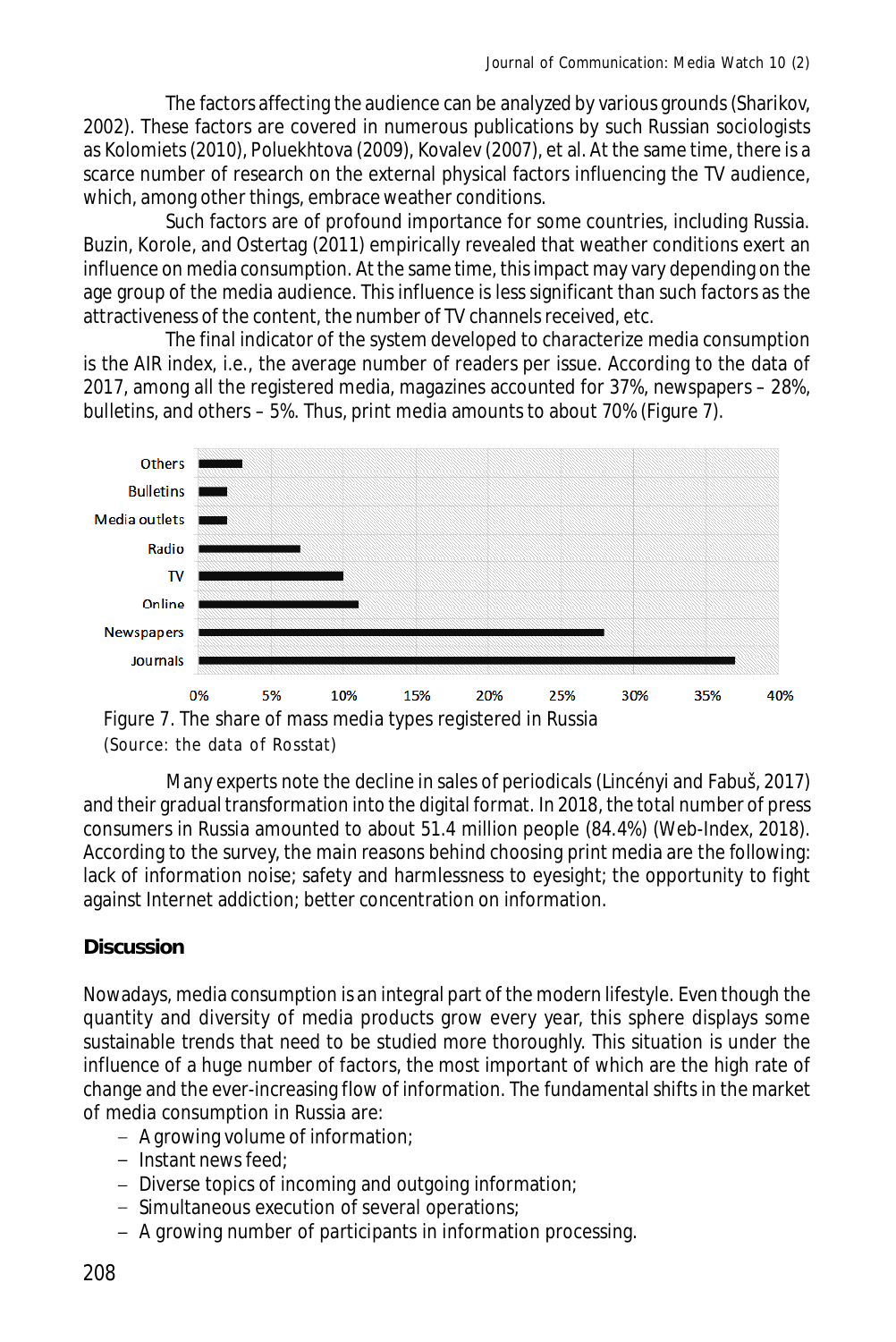The factors affecting the audience can be analyzed by various grounds (Sharikov, 2002). These factors are covered in numerous publications by such Russian sociologists as Kolomiets (2010), Poluekhtova (2009), Kovalev (2007), et al. At the same time, there is a scarce number of research on the external physical factors influencing the TV audience, which, among other things, embrace weather conditions.

Such factors are of profound importance for some countries, including Russia. Buzin, Korole, and Ostertag (2011) empirically revealed that weather conditions exert an influence on media consumption. At the same time, this impact may vary depending on the age group of the media audience. This influence is less significant than such factors as the attractiveness of the content, the number of TV channels received, etc.

The final indicator of the system developed to characterize media consumption is the AIR index, i.e., the average number of readers per issue. According to the data of 2017, among all the registered media, magazines accounted for 37%, newspapers – 28%, bulletins, and others – 5%. Thus, print media amounts to about 70% (Figure 7).



<sup>(</sup>Source: the data of Rosstat)

Many experts note the decline in sales of periodicals (Lincényi and Fabuš, 2017) and their gradual transformation into the digital format. In 2018, the total number of press consumers in Russia amounted to about 51.4 million people (84.4%) (Web-Index, 2018). According to the survey, the main reasons behind choosing print media are the following: lack of information noise; safety and harmlessness to eyesight; the opportunity to fight against Internet addiction; better concentration on information.

# **Discussion**

Nowadays, media consumption is an integral part of the modern lifestyle. Even though the quantity and diversity of media products grow every year, this sphere displays some sustainable trends that need to be studied more thoroughly. This situation is under the influence of a huge number of factors, the most important of which are the high rate of change and the ever-increasing flow of information. The fundamental shifts in the market of media consumption in Russia are:

- A growing volume of information;
- $-$  Instant news feed;
- Diverse topics of incoming and outgoing information;
- Simultaneous execution of several operations;
- A growing number of participants in information processing.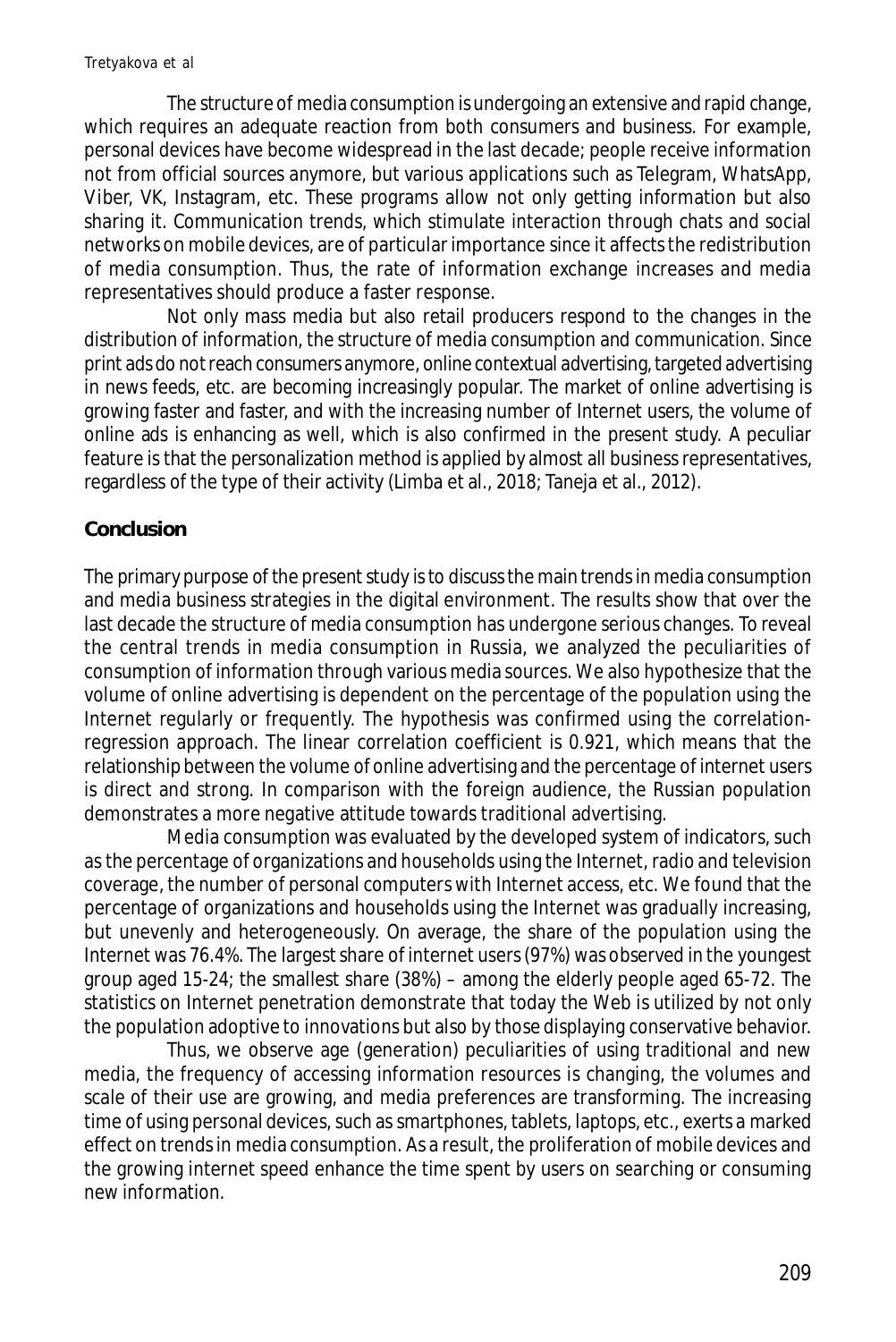The structure of media consumption is undergoing an extensive and rapid change, which requires an adequate reaction from both consumers and business. For example, personal devices have become widespread in the last decade; people receive information not from official sources anymore, but various applications such as Telegram, WhatsApp, Viber, VK, Instagram, etc. These programs allow not only getting information but also sharing it. Communication trends, which stimulate interaction through chats and social networks on mobile devices, are of particular importance since it affects the redistribution of media consumption. Thus, the rate of information exchange increases and media representatives should produce a faster response.

Not only mass media but also retail producers respond to the changes in the distribution of information, the structure of media consumption and communication. Since print ads do not reach consumers anymore, online contextual advertising, targeted advertising in news feeds, etc. are becoming increasingly popular. The market of online advertising is growing faster and faster, and with the increasing number of Internet users, the volume of online ads is enhancing as well, which is also confirmed in the present study. A peculiar feature is that the personalization method is applied by almost all business representatives, regardless of the type of their activity (Limba et al., 2018; Taneja et al., 2012).

## **Conclusion**

The primary purpose of the present study is to discuss the main trends in media consumption and media business strategies in the digital environment. The results show that over the last decade the structure of media consumption has undergone serious changes. To reveal the central trends in media consumption in Russia, we analyzed the peculiarities of consumption of information through various media sources. We also hypothesize that the volume of online advertising is dependent on the percentage of the population using the Internet regularly or frequently. The hypothesis was confirmed using the correlationregression approach. The linear correlation coefficient is 0.921, which means that the relationship between the volume of online advertising and the percentage of internet users is direct and strong. In comparison with the foreign audience, the Russian population demonstrates a more negative attitude towards traditional advertising.

Media consumption was evaluated by the developed system of indicators, such as the percentage of organizations and households using the Internet, radio and television coverage, the number of personal computers with Internet access, etc. We found that the percentage of organizations and households using the Internet was gradually increasing, but unevenly and heterogeneously. On average, the share of the population using the Internet was 76.4%. The largest share of internet users (97%) was observed in the youngest group aged 15-24; the smallest share (38%) – among the elderly people aged 65-72. The statistics on Internet penetration demonstrate that today the Web is utilized by not only the population adoptive to innovations but also by those displaying conservative behavior.

Thus, we observe age (generation) peculiarities of using traditional and new media, the frequency of accessing information resources is changing, the volumes and scale of their use are growing, and media preferences are transforming. The increasing time of using personal devices, such as smartphones, tablets, laptops, etc., exerts a marked effect on trends in media consumption. As a result, the proliferation of mobile devices and the growing internet speed enhance the time spent by users on searching or consuming new information.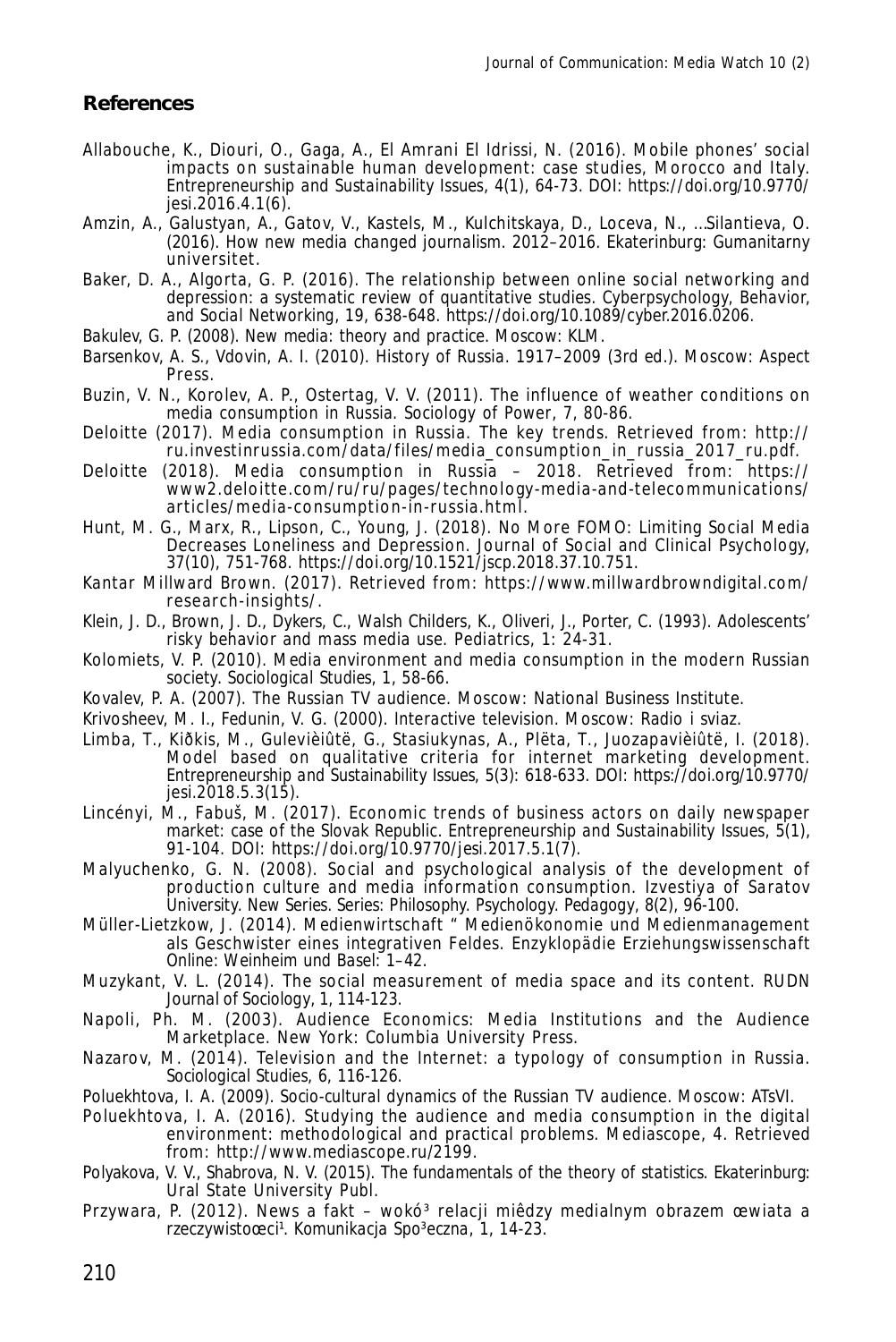#### **References**

- Allabouche, K., Diouri, O., Gaga, A., El Amrani El Idrissi, N. (2016). Mobile phones' social impacts on sustainable human development: case studies, Morocco and Italy. *Entrepreneurship and Sustainability Issues*, 4(1), 64-73. DOI: https://doi.org/10.9770/ jesi.2016.4.1(6).
- Amzin, A., Galustyan, A., Gatov, V., Kastels, M., Kulchitskaya, D., Loceva, N., …Silantieva, O. (2016). *How new media changed journalism*. 2012–2016. Ekaterinburg: Gumanitarny universitet.
- Baker, D. A., Algorta, G. P. (2016). The relationship between online social networking and depression: a systematic review of quantitative studies. *Cyberpsychology, Behavior, and Social Networking*, 19, 638-648. https://doi.org/10.1089/cyber.2016.0206.
- Bakulev, G. P. (2008). *New media: theory and practice*. Moscow: KLM.
- Barsenkov, A. S., Vdovin, A. I. (2010). *History of Russia*. 1917–2009 (3rd ed.). Moscow: Aspect Press.
- Buzin, V. N., Korolev, A. P., Ostertag, V. V. (2011). The influence of weather conditions on media consumption in Russia. *Sociology of Power*, 7, 80-86.
- Deloitte (2017). Media consumption in Russia. The key trends. Retrieved from: http:// ru.investinrussia.com/data/files/media\_consumption\_in\_russia\_2017\_ru.pdf.
- Deloitte (2018). Media consumption in Russia 2018. Retrieved from: https:// www2.deloitte.com/ru/ru/pages/technology-media-and-telecommunications/ articles/media-consumption-in-russia.html.
- Hunt, M. G., Marx, R., Lipson, C., Young, J. (2018). No More FOMO: Limiting Social Media Decreases Loneliness and Depression. Journal of Social and Clinical Psychology, 37(10), 751-768. https://doi.org/10.1521/jscp.2018.37.10.751.
- Kantar Millward Brown. (2017). Retrieved from: https://www.millwardbrowndigital.com/ research-insights/.
- Klein, J. D., Brown, J. D., Dykers, C., Walsh Childers, K., Oliveri, J., Porter, C. (1993). Adolescents' risky behavior and mass media use. *Pediatrics*, 1: 24-31.
- Kolomiets, V. P. (2010). Media environment and media consumption in the modern Russian society. *Sociological Studies*, 1, 58-66.
- Kovalev, P. A. (2007). *The Russian TV audience*. Moscow: National Business Institute.
- Krivosheev, M. I., Fedunin, V. G. (2000). *Interactive television*. Moscow: Radio i sviaz.
- Limba, T., Kiðkis, M., Gulevièiûtë, G., Stasiukynas, A., Plëta, T., Juozapavièiûtë, I. (2018). Model based on qualitative criteria for internet marketing development. *Entrepreneurship and Sustainability Issues*, 5(3): 618-633. DOI: https://doi.org/10.9770/ jesi.2018.5.3(15).
- Lincényi, M., Fabuš, M. (2017). Economic trends of business actors on daily newspaper market: case of the Slovak Republic. *Entrepreneurship and Sustainability Issues*, 5(1), 91-104. DOI: https://doi.org/10.9770/jesi.2017.5.1(7).
- Malyuchenko, G. N. (2008). Social and psychological analysis of the development of production culture and media information consumption. *Izvestiya of Saratov University. New Series. Series: Philosophy. Psychology. Pedagogy*, 8(2), 96-100.
- Müller-Lietzkow, J. (2014). Medienwirtschaft " Medienökonomie und Medienmanagement als Geschwister eines integrativen Feldes. *Enzyklopädie Erziehungswissenschaft Online: Weinheim und Basel*: 1–42.
- Muzykant, V. L. (2014). The social measurement of media space and its content. *RUDN Journal of Sociology*, 1, 114-123.
- Napoli, Ph. M. (2003). Audience Economics: Media Institutions and the Audience Marketplace. New York: Columbia University Press.
- Nazarov, M. (2014). Television and the Internet: a typology of consumption in Russia. *Sociological Studies*, 6, 116-126.
- Poluekhtova, I. A. (2009). *Socio-cultural dynamics of the Russian TV audience*. Moscow: ATsVI.
- Poluekhtova, I. A. (2016). Studying the audience and media consumption in the digital environment: methodological and practical problems. *Mediascope*, 4. Retrieved from: http://www.mediascope.ru/2199.
- Polyakova, V. V., Shabrova, N. V. (2015). *The fundamentals of the theory of statistics*. Ekaterinburg: Ural State University Publ.
- Przywara, P. (2012). News a fakt wokó<sup>3</sup> relacji miêdzy medialnym obrazem œwiata a rzeczywistoœci¹. *Komunikacja Spo³eczna*, 1, 14-23.